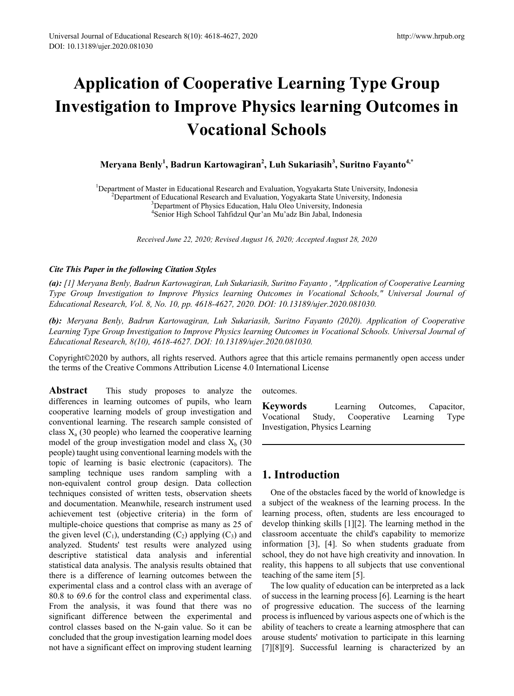# **Application of Cooperative Learning Type Group Investigation to Improve Physics learning Outcomes in Vocational Schools**

**Meryana Benly<sup>1</sup> , Badrun Kartowagiran2 , Luh Sukariasih<sup>3</sup> , Suritno Fayanto4,\***

<sup>1</sup>Department of Master in Educational Research and Evaluation, Yogyakarta State University, Indonesia<sup>2</sup>

 $<sup>2</sup>$ Department of Educational Research and Evaluation, Yogyakarta State University, Indonesia</sup>

<sup>3</sup>Department of Physics Education, Halu Oleo University, Indonesia

4 Senior High School Tahfidzul Qur'an Mu'adz Bin Jabal, Indonesia

*Received June 22, 2020; Revised August 16, 2020; Accepted August 28, 2020*

### *Cite This Paper in the following Citation Styles*

*(a): [1] Meryana Benly, Badrun Kartowagiran, Luh Sukariasih, Suritno Fayanto , "Application of Cooperative Learning Type Group Investigation to Improve Physics learning Outcomes in Vocational Schools," Universal Journal of Educational Research, Vol. 8, No. 10, pp. 4618-4627, 2020. DOI: 10.13189/ujer.2020.081030.* 

*(b): Meryana Benly, Badrun Kartowagiran, Luh Sukariasih, Suritno Fayanto (2020). Application of Cooperative Learning Type Group Investigation to Improve Physics learning Outcomes in Vocational Schools. Universal Journal of Educational Research, 8(10), 4618-4627. DOI: 10.13189/ujer.2020.081030.* 

Copyright©2020 by authors, all rights reserved. Authors agree that this article remains permanently open access under the terms of the Creative Commons Attribution License 4.0 International License

**Abstract** This study proposes to analyze the differences in learning outcomes of pupils, who learn cooperative learning models of group investigation and conventional learning. The research sample consisted of class  $X_a$  (30 people) who learned the cooperative learning model of the group investigation model and class  $X<sub>b</sub>$  (30) people) taught using conventional learning models with the topic of learning is basic electronic (capacitors). The sampling technique uses random sampling with a non-equivalent control group design. Data collection techniques consisted of written tests, observation sheets and documentation. Meanwhile, research instrument used achievement test (objective criteria) in the form of multiple-choice questions that comprise as many as 25 of the given level  $(C_1)$ , understanding  $(C_2)$  applying  $(C_3)$  and analyzed. Students' test results were analyzed using descriptive statistical data analysis and inferential statistical data analysis. The analysis results obtained that there is a difference of learning outcomes between the experimental class and a control class with an average of 80.8 to 69.6 for the control class and experimental class. From the analysis, it was found that there was no significant difference between the experimental and control classes based on the N-gain value. So it can be concluded that the group investigation learning model does not have a significant effect on improving student learning

outcomes.

**Keywords** Learning Outcomes, Capacitor, Vocational Study, Cooperative Learning Type Investigation, Physics Learning

# **1. Introduction**

One of the obstacles faced by the world of knowledge is a subject of the weakness of the learning process. In the learning process, often, students are less encouraged to develop thinking skills [1][2]. The learning method in the classroom accentuate the child's capability to memorize information [3], [4]. So when students graduate from school, they do not have high creativity and innovation. In reality, this happens to all subjects that use conventional teaching of the same item [5].

The low quality of education can be interpreted as a lack of success in the learning process [6]. Learning is the heart of progressive education. The success of the learning process is influenced by various aspects one of which is the ability of teachers to create a learning atmosphere that can arouse students' motivation to participate in this learning [7][8][9]. Successful learning is characterized by an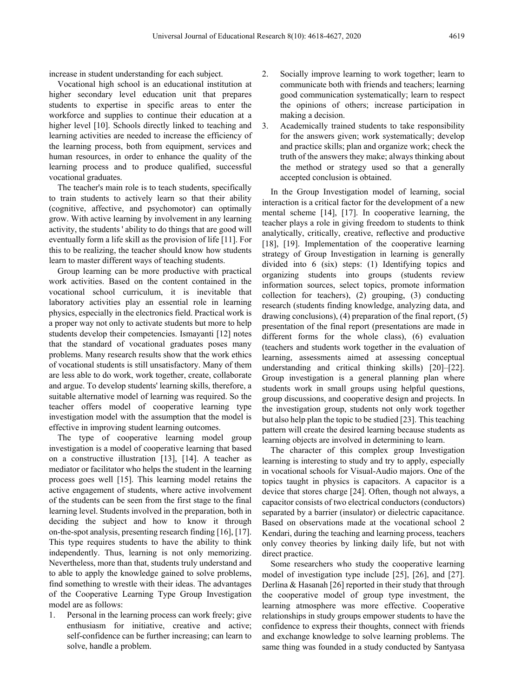increase in student understanding for each subject.

Vocational high school is an educational institution at higher secondary level education unit that prepares students to expertise in specific areas to enter the workforce and supplies to continue their education at a higher level [10]. Schools directly linked to teaching and learning activities are needed to increase the efficiency of the learning process, both from equipment, services and human resources, in order to enhance the quality of the learning process and to produce qualified, successful vocational graduates.

The teacher's main role is to teach students, specifically to train students to actively learn so that their ability (cognitive, affective, and psychomotor) can optimally grow. With active learning by involvement in any learning activity, the students ' ability to do things that are good will eventually form a life skill as the provision of life [11]. For this to be realizing, the teacher should know how students learn to master different ways of teaching students.

Group learning can be more productive with practical work activities. Based on the content contained in the vocational school curriculum, it is inevitable that laboratory activities play an essential role in learning physics, especially in the electronics field. Practical work is a proper way not only to activate students but more to help students develop their competencies. Ismayanti [12] notes that the standard of vocational graduates poses many problems. Many research results show that the work ethics of vocational students is still unsatisfactory. Many of them are less able to do work, work together, create, collaborate and argue. To develop students' learning skills, therefore, a suitable alternative model of learning was required. So the teacher offers model of cooperative learning type investigation model with the assumption that the model is effective in improving student learning outcomes.

The type of cooperative learning model group investigation is a model of cooperative learning that based on a constructive illustration [13], [14]. A teacher as mediator or facilitator who helps the student in the learning process goes well [15]. This learning model retains the active engagement of students, where active involvement of the students can be seen from the first stage to the final learning level. Students involved in the preparation, both in deciding the subject and how to know it through on-the-spot analysis, presenting research finding [16], [17]. This type requires students to have the ability to think independently. Thus, learning is not only memorizing. Nevertheless, more than that, students truly understand and to able to apply the knowledge gained to solve problems, find something to wrestle with their ideas. The advantages of the Cooperative Learning Type Group Investigation model are as follows:

1. Personal in the learning process can work freely; give enthusiasm for initiative, creative and active; self-confidence can be further increasing; can learn to solve, handle a problem.

- 2. Socially improve learning to work together; learn to communicate both with friends and teachers; learning good communication systematically; learn to respect the opinions of others; increase participation in making a decision.
- 3. Academically trained students to take responsibility for the answers given; work systematically; develop and practice skills; plan and organize work; check the truth of the answers they make; always thinking about the method or strategy used so that a generally accepted conclusion is obtained.

In the Group Investigation model of learning, social interaction is a critical factor for the development of a new mental scheme [14], [17]. In cooperative learning, the teacher plays a role in giving freedom to students to think analytically, critically, creative, reflective and productive [18], [19]. Implementation of the cooperative learning strategy of Group Investigation in learning is generally divided into 6 (six) steps: (1) Identifying topics and organizing students into groups (students review information sources, select topics, promote information collection for teachers), (2) grouping, (3) conducting research (students finding knowledge, analyzing data, and drawing conclusions), (4) preparation of the final report, (5) presentation of the final report (presentations are made in different forms for the whole class), (6) evaluation (teachers and students work together in the evaluation of learning, assessments aimed at assessing conceptual understanding and critical thinking skills) [20]–[22]. Group investigation is a general planning plan where students work in small groups using helpful questions, group discussions, and cooperative design and projects. In the investigation group, students not only work together but also help plan the topic to be studied [23]. This teaching pattern will create the desired learning because students as learning objects are involved in determining to learn.

The character of this complex group Investigation learning is interesting to study and try to apply, especially in vocational schools for Visual-Audio majors. One of the topics taught in physics is capacitors. A capacitor is a device that stores charge [24]. Often, though not always, a capacitor consists of two electrical conductors (conductors) separated by a barrier (insulator) or dielectric capacitance. Based on observations made at the vocational school 2 Kendari, during the teaching and learning process, teachers only convey theories by linking daily life, but not with direct practice.

Some researchers who study the cooperative learning model of investigation type include [25], [26], and [27]. Derlina & Hasanah [26] reported in their study that through the cooperative model of group type investment, the learning atmosphere was more effective. Cooperative relationships in study groups empower students to have the confidence to express their thoughts, connect with friends and exchange knowledge to solve learning problems. The same thing was founded in a study conducted by Santyasa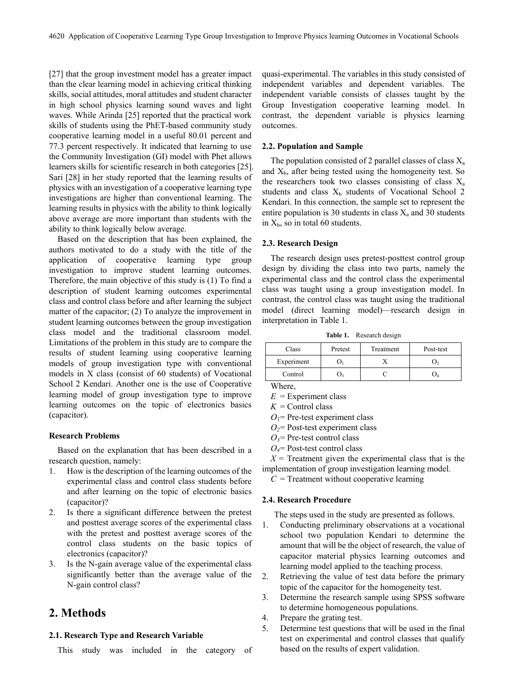[27] that the group investment model has a greater impact than the clear learning model in achieving critical thinking skills, social attitudes, moral attitudes and student character in high school physics learning sound waves and light waves. While Arinda [25] reported that the practical work skills of students using the PhET-based community study cooperative learning model in a useful 80.01 percent and 77.3 percent respectively. It indicated that learning to use the Community Investigation (GI) model with Phet allows learners skills for scientific research in both categories [25]. Sari [28] in her study reported that the learning results of physics with an investigation of a cooperative learning type investigations are higher than conventional learning. The learning results in physics with the ability to think logically above average are more important than students with the ability to think logically below average.

Based on the description that has been explained, the authors motivated to do a study with the title of the application of cooperative learning type group investigation to improve student learning outcomes. Therefore, the main objective of this study is (1) To find a description of student learning outcomes experimental class and control class before and after learning the subject matter of the capacitor; (2) To analyze the improvement in student learning outcomes between the group investigation class model and the traditional classroom model. Limitations of the problem in this study are to compare the results of student learning using cooperative learning models of group investigation type with conventional models in X class (consist of 60 students) of Vocational School 2 Kendari. Another one is the use of Cooperative learning model of group investigation type to improve learning outcomes on the topic of electronics basics (capacitor).

### **Research Problems**

Based on the explanation that has been described in a research question, namely:

- 1. How is the description of the learning outcomes of the experimental class and control class students before and after learning on the topic of electronic basics (capacitor)?
- 2. Is there a significant difference between the pretest and posttest average scores of the experimental class with the pretest and posttest average scores of the control class students on the basic topics of electronics (capacitor)?
- 3. Is the N-gain average value of the experimental class significantly better than the average value of the N-gain control class?

### **2. Methods**

### **2.1. Research Type and Research Variable**

This study was included in the category of

quasi-experimental. The variables in this study consisted of independent variables and dependent variables. The independent variable consists of classes taught by the Group Investigation cooperative learning model. In contrast, the dependent variable is physics learning outcomes.

### **2.2. Population and Sample**

The population consisted of 2 parallel classes of class  $X_a$ and  $X<sub>b</sub>$ , after being tested using the homogeneity test. So the researchers took two classes consisting of class  $X_a$ students and class  $X<sub>b</sub>$  students of Vocational School 2 Kendari. In this connection, the sample set to represent the entire population is 30 students in class  $X_a$  and 30 students in  $X_b$ , so in total 60 students.

### **2.3. Research Design**

The research design uses pretest-posttest control group design by dividing the class into two parts, namely the experimental class and the control class the experimental class was taught using a group investigation model. In contrast, the control class was taught using the traditional model (direct learning model)—research design in interpretation in Table 1.

**Table 1.** Research design

| Class      | Pretest | Treatment | Post-test |
|------------|---------|-----------|-----------|
| Experiment |         |           |           |
| Control    |         |           |           |

Where,

 $E =$ Experiment class

 $K =$  Control class

 $O_1$ = Pre-test experiment class

*O2*= Post-test experiment class

- $O_3$ = Pre-test control class
- *O4*= Post-test control class

 $X =$  Treatment given the experimental class that is the implementation of group investigation learning model.

 $C =$  Treatment without cooperative learning

#### **2.4. Research Procedure**

The steps used in the study are presented as follows.

- 1. Conducting preliminary observations at a vocational school two population Kendari to determine the amount that will be the object of research, the value of capacitor material physics learning outcomes and learning model applied to the teaching process.
- 2. Retrieving the value of test data before the primary topic of the capacitor for the homogeneity test.
- 3. Determine the research sample using SPSS software to determine homogeneous populations.
- 4. Prepare the grating test.
- 5. Determine test questions that will be used in the final test on experimental and control classes that qualify based on the results of expert validation.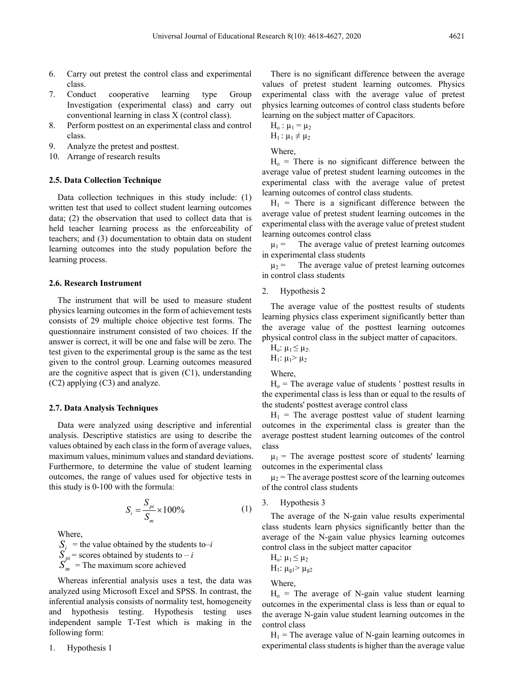- 6. Carry out pretest the control class and experimental class.
- 7. Conduct cooperative learning type Group Investigation (experimental class) and carry out conventional learning in class X (control class).
- 8. Perform posttest on an experimental class and control class.
- 9. Analyze the pretest and posttest.
- 10. Arrange of research results

### **2.5. Data Collection Technique**

Data collection techniques in this study include: (1) written test that used to collect student learning outcomes data; (2) the observation that used to collect data that is held teacher learning process as the enforceability of teachers; and (3) documentation to obtain data on student learning outcomes into the study population before the learning process.

### **2.6. Research Instrument**

The instrument that will be used to measure student physics learning outcomes in the form of achievement tests consists of 29 multiple choice objective test forms. The questionnaire instrument consisted of two choices. If the answer is correct, it will be one and false will be zero. The test given to the experimental group is the same as the test given to the control group. Learning outcomes measured are the cognitive aspect that is given (C1), understanding (C2) applying (C3) and analyze.

#### **2.7. Data Analysis Techniques**

Data were analyzed using descriptive and inferential analysis. Descriptive statistics are using to describe the values obtained by each class in the form of average values, maximum values, minimum values and standard deviations. Furthermore, to determine the value of student learning outcomes, the range of values used for objective tests in this study is 0-100 with the formula:

$$
S_i = \frac{S_{pi}}{S_m} \times 100\%
$$
 (1)

Where,

 $S_i$  = the value obtained by the students to–*i*  $S_{pi}$  = scores obtained by students to – *i*  $S_m$  = The maximum score achieved

Whereas inferential analysis uses a test, the data was analyzed using Microsoft Excel and SPSS. In contrast, the inferential analysis consists of normality test, homogeneity and hypothesis testing. Hypothesis testing uses independent sample T-Test which is making in the following form:

1. Hypothesis 1

There is no significant difference between the average values of pretest student learning outcomes. Physics experimental class with the average value of pretest physics learning outcomes of control class students before learning on the subject matter of Capacitors.

$$
H_o: \mu_1 = \mu_2
$$

 $H_1$ :  $\mu_1 \neq \mu_2$ 

Where,

 $H<sub>o</sub>$  = There is no significant difference between the average value of pretest student learning outcomes in the experimental class with the average value of pretest learning outcomes of control class students.

 $H_1$  = There is a significant difference between the average value of pretest student learning outcomes in the experimental class with the average value of pretest student learning outcomes control class

 $\mu_1$  = The average value of pretest learning outcomes in experimental class students

 $\mu_2$  = The average value of pretest learning outcomes in control class students

2. Hypothesis 2

The average value of the posttest results of students learning physics class experiment significantly better than the average value of the posttest learning outcomes physical control class in the subject matter of capacitors.

 $H_0$ :  $\mu_1 \leq \mu_2$ 

H<sub>1</sub>:  $\mu_1 > \mu_2$ 

Where,

 $H_0$  = The average value of students ' posttest results in the experimental class is less than or equal to the results of the students' posttest average control class

 $H_1$  = The average posttest value of student learning outcomes in the experimental class is greater than the average posttest student learning outcomes of the control class

 $\mu_1$  = The average posttest score of students' learning outcomes in the experimental class

 $\mu_2$  = The average posttest score of the learning outcomes of the control class students

3. Hypothesis 3

The average of the N-gain value results experimental class students learn physics significantly better than the average of the N-gain value physics learning outcomes control class in the subject matter capacitor

H<sub>0</sub>:  $\mu_1 \leq \mu_2$  $H_1$ :  $\mu_{g1}$  >  $\mu_{g2}$ 

Where,

 $H<sub>o</sub>$  = The average of N-gain value student learning outcomes in the experimental class is less than or equal to the average N-gain value student learning outcomes in the control class

 $H_1$  = The average value of N-gain learning outcomes in experimental class students is higher than the average value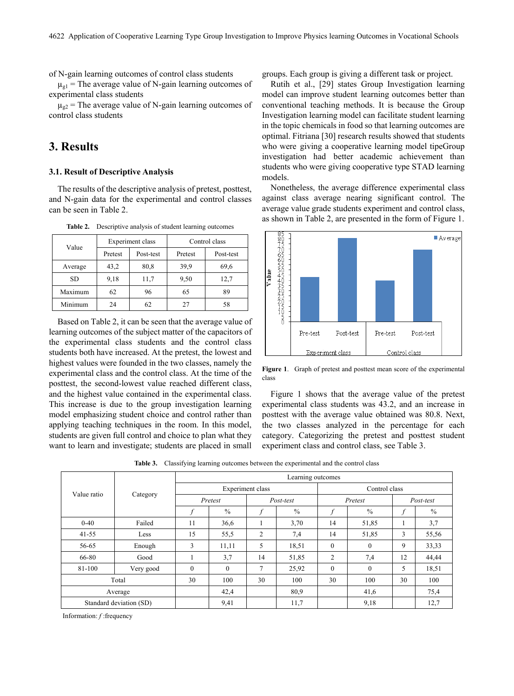of N-gain learning outcomes of control class students

 $\mu_{g1}$  = The average value of N-gain learning outcomes of experimental class students

 $\mu_{g2}$  = The average value of N-gain learning outcomes of control class students

# **3. Results**

### **3.1. Result of Descriptive Analysis**

The results of the descriptive analysis of pretest, posttest, and N-gain data for the experimental and control classes can be seen in Table 2.

| Value     |                      | <b>Experiment class</b> | Control class |           |  |
|-----------|----------------------|-------------------------|---------------|-----------|--|
|           | Pretest<br>Post-test |                         | Pretest       | Post-test |  |
| Average   | 43,2                 | 80,8                    | 39.9          | 69,6      |  |
| <b>SD</b> | 9,18                 | 11,7                    | 9,50          | 12,7      |  |
| Maximum   | 62                   | 96                      | 65            | 89        |  |
| Minimum   | 24                   | 62                      | 27            | 58        |  |

**Table 2.** Descriptive analysis of student learning outcomes

Based on Table 2, it can be seen that the average value of learning outcomes of the subject matter of the capacitors of the experimental class students and the control class students both have increased. At the pretest, the lowest and highest values were founded in the two classes, namely the experimental class and the control class. At the time of the posttest, the second-lowest value reached different class, and the highest value contained in the experimental class. This increase is due to the group investigation learning model emphasizing student choice and control rather than applying teaching techniques in the room. In this model, students are given full control and choice to plan what they want to learn and investigate; students are placed in small

groups. Each group is giving a different task or project.

Rutih et al., [29] states Group Investigation learning model can improve student learning outcomes better than conventional teaching methods. It is because the Group Investigation learning model can facilitate student learning in the topic chemicals in food so that learning outcomes are optimal. Fitriana [30] research results showed that students who were giving a cooperative learning model tipeGroup investigation had better academic achievement than students who were giving cooperative type STAD learning models.

Nonetheless, the average difference experimental class against class average nearing significant control. The average value grade students experiment and control class, as shown in Table 2, are presented in the form of Figure 1.



**Figure 1**. Graph of pretest and posttest mean score of the experimental class

Figure 1 shows that the average value of the pretest experimental class students was 43.2, and an increase in posttest with the average value obtained was 80.8. Next, the two classes analyzed in the percentage for each category. Categorizing the pretest and posttest student experiment class and control class, see Table 3.

**Table 3.** Classifying learning outcomes between the experimental and the control class

|             |                         |          | Learning outcomes                 |    |               |              |               |    |           |  |  |
|-------------|-------------------------|----------|-----------------------------------|----|---------------|--------------|---------------|----|-----------|--|--|
|             |                         |          | Experiment class<br>Control class |    |               |              |               |    |           |  |  |
| Value ratio | Category                |          | Pretest                           |    | Post-test     |              | Pretest       |    | Post-test |  |  |
|             |                         |          | $\%$                              |    | $\frac{0}{0}$ |              | $\frac{0}{0}$ |    | $\%$      |  |  |
| $0 - 40$    | Failed                  | 11       | 36,6                              | ш  | 3,70          | 14           | 51,85         |    | 3,7       |  |  |
| $41 - 55$   | Less                    | 15       | 55,5                              | 2  | 7,4           | 14           | 51,85         | 3  | 55,56     |  |  |
| 56-65       | Enough                  | 3        | 11,11                             | 5  | 18,51         | $\mathbf{0}$ | $\Omega$      | 9  | 33,33     |  |  |
| 66-80       | Good                    |          | 3,7                               | 14 | 51,85         | 2            | 7,4           | 12 | 44,44     |  |  |
| 81-100      | Very good               | $\theta$ | $\mathbf{0}$                      | 7  | 25,92         | $\mathbf{0}$ | $\Omega$      | 5  | 18,51     |  |  |
|             | Total                   | 30       | 100                               | 30 | 100           | 30           | 100           | 30 | 100       |  |  |
|             | Average                 |          | 42,4                              |    | 80,9          |              | 41,6          |    | 75,4      |  |  |
|             | Standard deviation (SD) |          | 9,41                              |    | 11,7          |              | 9,18          |    | 12,7      |  |  |

Information: *f* :frequency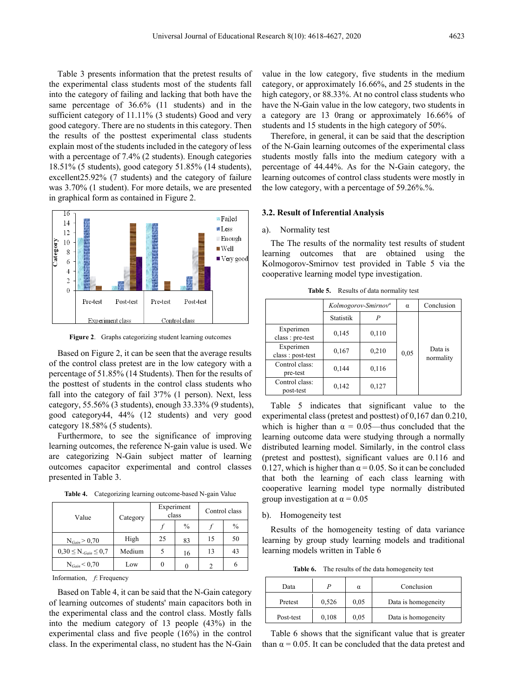Table 3 presents information that the pretest results of the experimental class students most of the students fall into the category of failing and lacking that both have the same percentage of 36.6% (11 students) and in the sufficient category of 11.11% (3 students) Good and very good category. There are no students in this category. Then the results of the posttest experimental class students explain most of the students included in the category of less with a percentage of 7.4% (2 students). Enough categories 18.51% (5 students), good category 51.85% (14 students), excellent25.92% (7 students) and the category of failure was 3.70% (1 student). For more details, we are presented in graphical form as contained in Figure 2.



**Figure 2**. Graphs categorizing student learning outcomes

Based on Figure 2, it can be seen that the average results of the control class pretest are in the low category with a percentage of 51.85% (14 Students). Then for the results of the posttest of students in the control class students who fall into the category of fail 3'7% (1 person). Next, less category, 55.56% (3 students), enough 33.33% (9 students), good category44, 44% (12 students) and very good category 18.58% (5 students).

Furthermore, to see the significance of improving learning outcomes, the reference N-gain value is used. We are categorizing N-Gain subject matter of learning outcomes capacitor experimental and control classes presented in Table 3.

|  | <b>Table 4.</b> Categorizing learning outcome-based N-gain Value |  |
|--|------------------------------------------------------------------|--|
|--|------------------------------------------------------------------|--|

| Value                                 | Category |    | Experiment<br>class | Control class |               |
|---------------------------------------|----------|----|---------------------|---------------|---------------|
|                                       |          |    | $\frac{0}{0}$       |               | $\frac{0}{0}$ |
| $N_{Gain} > 0,70$                     | High     | 25 | 83                  | 15            | 50            |
| $0,30 \leq N_{\text{-Gain}} \leq 0,7$ | Medium   |    | 16                  | 13            | 43            |
| $N_{Gain} < 0.70$                     | Low      | 0  |                     |               | 6             |

Information, *f*: Frequency

Based on Table 4, it can be said that the N-Gain category of learning outcomes of students' main capacitors both in the experimental class and the control class. Mostly falls into the medium category of 13 people (43%) in the experimental class and five people (16%) in the control class. In the experimental class, no student has the N-Gain

value in the low category, five students in the medium category, or approximately 16.66%, and 25 students in the high category, or  $88.33\%$ . At no control class students who have the N-Gain value in the low category, two students in a category are 13 0rang or approximately 16.66% of students and 15 students in the high category of 50%.

Therefore, in general, it can be said that the description of the N-Gain learning outcomes of the experimental class students mostly falls into the medium category with a percentage of 44.44%. As for the N-Gain category, the learning outcomes of control class students were mostly in the low category, with a percentage of 59.26%.%.

#### **3.2. Result of Inferential Analysis**

#### a). Normality test

The The results of the normality test results of student learning outcomes that are obtained using the Kolmogorov-Smirnov test provided in Table 5 via the cooperative learning model type investigation.

|                               |                | Kolmogorov-Smirnov <sup>a</sup> | α    | Conclusion           |
|-------------------------------|----------------|---------------------------------|------|----------------------|
|                               | Statistik<br>P |                                 |      |                      |
| Experimen<br>class : pre-test | 0,145          | 0,110                           |      |                      |
| Experimen<br>class: post-test | 0,167          | 0,210                           | 0,05 | Data is<br>normality |
| Control class:<br>pre-test    | 0,144          | 0,116                           |      |                      |
| Control class:<br>post-test   | 0,142          | 0,127                           |      |                      |

**Table 5.** Results of data normality test

Table 5 indicates that significant value to the experimental class (pretest and posttest) of 0,167 dan 0.210, which is higher than  $\alpha = 0.05$ —thus concluded that the learning outcome data were studying through a normally distributed learning model. Similarly, in the control class (pretest and posttest), significant values are 0.116 and 0.127, which is higher than  $\alpha$  = 0.05. So it can be concluded that both the learning of each class learning with cooperative learning model type normally distributed group investigation at  $\alpha = 0.05$ 

#### b). Homogeneity test

Results of the homogeneity testing of data variance learning by group study learning models and traditional learning models written in Table 6

**Table 6.** The results of the data homogeneity test

| Data      |       | $\alpha$ | Conclusion          |
|-----------|-------|----------|---------------------|
| Pretest   | 0,526 | 0.05     | Data is homogeneity |
| Post-test | 0,108 | 0.05     | Data is homogeneity |

Table 6 shows that the significant value that is greater than  $\alpha$  = 0.05. It can be concluded that the data pretest and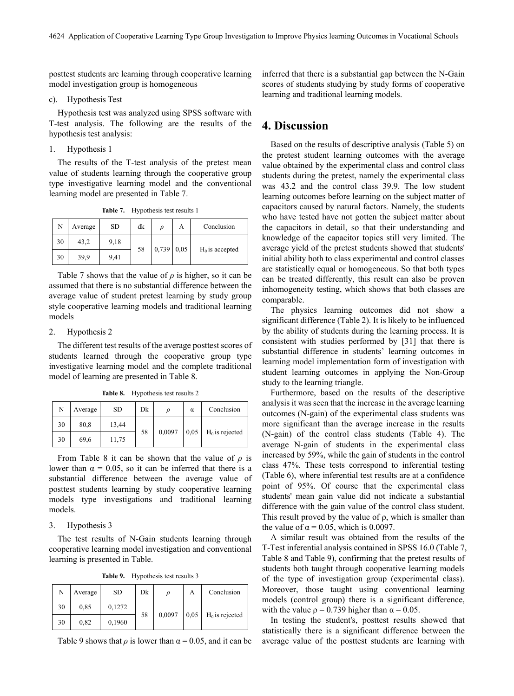posttest students are learning through cooperative learning model investigation group is homogeneous

### c). Hypothesis Test

Hypothesis test was analyzed using SPSS software with T-test analysis. The following are the results of the hypothesis test analysis:

1. Hypothesis 1

The results of the T-test analysis of the pretest mean value of students learning through the cooperative group type investigative learning model and the conventional learning model are presented in Table 7.

**Table 7.** Hypothesis test results 1

| N  | Average | <b>SD</b> | dk |                   | А | Conclusion       |
|----|---------|-----------|----|-------------------|---|------------------|
| 30 | 43,2    | 9,18      |    |                   |   |                  |
| 30 | 39,9    | 9.41      | 58 | $0,739 \mid 0,05$ |   | $H0$ is accepted |

Table 7 shows that the value of  $\rho$  is higher, so it can be assumed that there is no substantial difference between the average value of student pretest learning by study group style cooperative learning models and traditional learning models

### 2. Hypothesis 2

The different test results of the average posttest scores of students learned through the cooperative group type investigative learning model and the complete traditional model of learning are presented in Table 8.

**Table 8.** Hypothesis test results 2

| N  | Average | <b>SD</b> | Dk |        | α    | Conclusion       |
|----|---------|-----------|----|--------|------|------------------|
| 30 | 80,8    | 13,44     |    |        |      |                  |
| 30 | 69.6    | 11,75     | 58 | 0,0097 | 0.05 | $H0$ is rejected |

From Table 8 it can be shown that the value of  $\rho$  is lower than  $\alpha = 0.05$ , so it can be inferred that there is a substantial difference between the average value of posttest students learning by study cooperative learning models type investigations and traditional learning models.

3. Hypothesis 3

The test results of N-Gain students learning through cooperative learning model investigation and conventional learning is presented in Table.

**Table 9.** Hypothesis test results 3

| N  | Average | SD     | Dk | $\boldsymbol{\rho}$ | А    | Conclusion       |  |
|----|---------|--------|----|---------------------|------|------------------|--|
| 30 | 0.85    | 0,1272 | 58 |                     |      |                  |  |
| 30 | 0,82    | 0,1960 |    | 0,0097              | 0.05 | $H0$ is rejected |  |

Table 9 shows that  $\rho$  is lower than  $\alpha = 0.05$ , and it can be

inferred that there is a substantial gap between the N-Gain scores of students studying by study forms of cooperative learning and traditional learning models.

### **4. Discussion**

Based on the results of descriptive analysis (Table 5) on the pretest student learning outcomes with the average value obtained by the experimental class and control class students during the pretest, namely the experimental class was 43.2 and the control class 39.9. The low student learning outcomes before learning on the subject matter of capacitors caused by natural factors. Namely, the students who have tested have not gotten the subject matter about the capacitors in detail, so that their understanding and knowledge of the capacitor topics still very limited. The average yield of the pretest students showed that students' initial ability both to class experimental and control classes are statistically equal or homogeneous. So that both types can be treated differently, this result can also be proven inhomogeneity testing, which shows that both classes are comparable.

The physics learning outcomes did not show a significant difference (Table 2). It is likely to be influenced by the ability of students during the learning process. It is consistent with studies performed by [31] that there is substantial difference in students' learning outcomes in learning model implementation form of investigation with student learning outcomes in applying the Non-Group study to the learning triangle.

Furthermore, based on the results of the descriptive analysis it was seen that the increase in the average learning outcomes (N-gain) of the experimental class students was more significant than the average increase in the results (N-gain) of the control class students (Table 4). The average N-gain of students in the experimental class increased by 59%, while the gain of students in the control class 47%. These tests correspond to inferential testing (Table 6), where inferential test results are at a confidence point of 95%. Of course that the experimental class students' mean gain value did not indicate a substantial difference with the gain value of the control class student. This result proved by the value of ρ, which is smaller than the value of  $\alpha = 0.05$ , which is 0.0097.

A similar result was obtained from the results of the T-Test inferential analysis contained in SPSS 16.0 (Table 7, Table 8 and Table 9), confirming that the pretest results of students both taught through cooperative learning models of the type of investigation group (experimental class). Moreover, those taught using conventional learning models (control group) there is a significant difference, with the value  $\rho = 0.739$  higher than  $\alpha = 0.05$ .

In testing the student's, posttest results showed that statistically there is a significant difference between the average value of the posttest students are learning with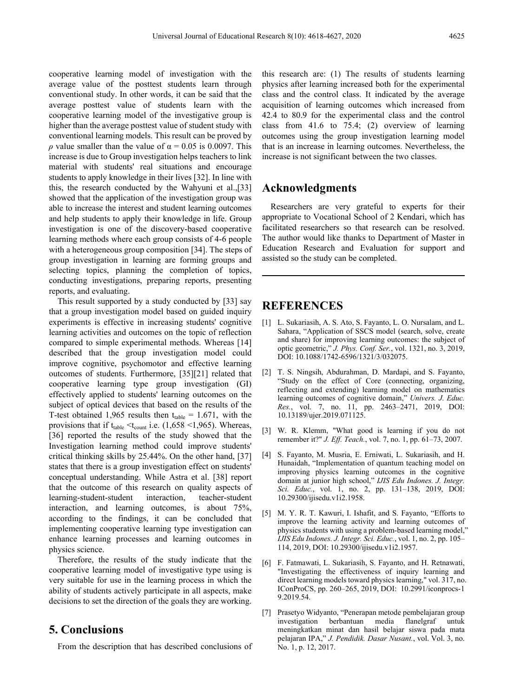cooperative learning model of investigation with the average value of the posttest students learn through conventional study. In other words, it can be said that the average posttest value of students learn with the cooperative learning model of the investigative group is higher than the average posttest value of student study with conventional learning models. This result can be proved by *ρ* value smaller than the value of  $\alpha = 0.05$  is 0.0097. This increase is due to Group investigation helps teachers to link material with students' real situations and encourage students to apply knowledge in their lives [32]. In line with this, the research conducted by the Wahyuni et al.,[33] showed that the application of the investigation group was able to increase the interest and student learning outcomes and help students to apply their knowledge in life. Group investigation is one of the discovery-based cooperative learning methods where each group consists of 4-6 people with a heterogeneous group composition [34]. The steps of group investigation in learning are forming groups and selecting topics, planning the completion of topics, conducting investigations, preparing reports, presenting reports, and evaluating.

This result supported by a study conducted by [33] say that a group investigation model based on guided inquiry experiments is effective in increasing students' cognitive learning activities and outcomes on the topic of reflection compared to simple experimental methods. Whereas [14] described that the group investigation model could improve cognitive, psychomotor and effective learning outcomes of students. Furthermore, [35][21] related that cooperative learning type group investigation (GI) effectively applied to students' learning outcomes on the subject of optical devices that based on the results of the T-test obtained 1,965 results then  $t_{table} = 1.671$ , with the provisions that if  $t_{table} < t_{count}$  i.e. (1,658 <1,965). Whereas, [36] reported the results of the study showed that the Investigation learning method could improve students' critical thinking skills by 25.44%. On the other hand, [37] states that there is a group investigation effect on students' conceptual understanding. While Astra et al. [38] report that the outcome of this research on quality aspects of learning-student-student interaction, teacher-student interaction, and learning outcomes, is about 75%, according to the findings, it can be concluded that implementing cooperative learning type investigation can enhance learning processes and learning outcomes in physics science.

Therefore, the results of the study indicate that the cooperative learning model of investigative type using is very suitable for use in the learning process in which the ability of students actively participate in all aspects, make decisions to set the direction of the goals they are working.

# **5. Conclusions**

From the description that has described conclusions of

this research are: (1) The results of students learning physics after learning increased both for the experimental class and the control class. It indicated by the average acquisition of learning outcomes which increased from 42.4 to 80.9 for the experimental class and the control class from 41.6 to 75.4; (2) overview of learning outcomes using the group investigation learning model that is an increase in learning outcomes. Nevertheless, the increase is not significant between the two classes.

# **Acknowledgments**

Researchers are very grateful to experts for their appropriate to Vocational School of 2 Kendari, which has facilitated researchers so that research can be resolved. The author would like thanks to Department of Master in Education Research and Evaluation for support and assisted so the study can be completed.

# **REFERENCES**

- [1] L. Sukariasih, A. S. Ato, S. Fayanto, L. O. Nursalam, and L. Sahara, "Application of SSCS model (search, solve, create and share) for improving learning outcomes: the subject of optic geometric," *J. Phys. Conf. Ser.*, vol. 1321, no. 3, 2019, DOI: 10.1088/1742-6596/1321/3/032075.
- [2] T. S. Ningsih, Abdurahman, D. Mardapi, and S. Fayanto, "Study on the effect of Core (connecting, organizing, reflecting and extending) learning model on mathematics learning outcomes of cognitive domain," *Univers. J. Educ. Res.*, vol. 7, no. 11, pp. 2463–2471, 2019, DOI: 10.13189/ujer.2019.071125.
- [3] W. R. Klemm, "What good is learning if you do not remember it?" *J. Eff. Teach.*, vol. 7, no. 1, pp. 61–73, 2007.
- [4] S. Fayanto, M. Musria, E. Erniwati, L. Sukariasih, and H. Hunaidah, "Implementation of quantum teaching model on improving physics learning outcomes in the cognitive domain at junior high school," *IJIS Edu Indones. J. Integr. Sci. Educ.*, vol. 1, no. 2, pp. 131–138, 2019, DOI: 10.29300/ijisedu.v1i2.1958.
- [5] M. Y. R. T. Kawuri, I. Ishafit, and S. Fayanto, "Efforts to improve the learning activity and learning outcomes of physics students with using a problem-based learning model," *IJIS Edu Indones. J. Integr. Sci. Educ.*, vol. 1, no. 2, pp. 105– 114, 2019, DOI: 10.29300/ijisedu.v1i2.1957.
- [6] F. Fatmawati, L. Sukariasih, S. Fayanto, and H. Retnawati, "Investigating the effectiveness of inquiry learning and direct learning models toward physics learning," vol. 317, no. IConProCS, pp. 260–265, 2019, DOI: 10.2991/iconprocs-1 9.2019.54.
- [7] Prasetyo Widyanto, "Penerapan metode pembelajaran group investigation berbantuan media flanelgraf untuk meningkatkan minat dan hasil belajar siswa pada mata pelajaran IPA," *J. Pendidik. Dasar Nusant.*, vol. Vol. 3, no. No. 1, p. 12, 2017.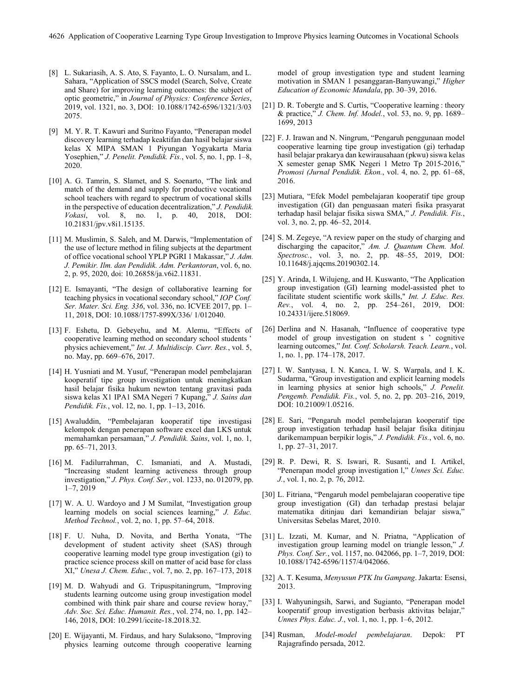- [8] L. Sukariasih, A. S. Ato, S. Fayanto, L. O. Nursalam, and L. Sahara, "Application of SSCS model (Search, Solve, Create and Share) for improving learning outcomes: the subject of optic geometric," in *Journal of Physics: Conference Series*, 2019, vol. 1321, no. 3, DOI: 10.1088/1742-6596/1321/3/03 2075.
- [9] M. Y. R. T. Kawuri and Suritno Fayanto, "Penerapan model discovery learning terhadap keaktifan dan hasil belajar siswa kelas X MIPA SMAN 1 Piyungan Yogyakarta Maria Yosephien," *J. Penelit. Pendidik. Fis.*, vol. 5, no. 1, pp. 1–8, 2020.
- [10] A. G. Tamrin, S. Slamet, and S. Soenarto, "The link and match of the demand and supply for productive vocational school teachers with regard to spectrum of vocational skills in the perspective of education decentralization," *J. Pendidik. Vokasi*, vol. 8, no. 1, p. 40, 2018, DOI: 10.21831/jpv.v8i1.15135.
- [11] M. Muslimin, S. Saleh, and M. Darwis, "Implementation of the use of lecture method in filing subjects at the department of office vocational school YPLP PGRI 1 Makassar," *J. Adm. J. Pemikir. Ilm. dan Pendidik. Adm. Perkantoran*, vol. 6, no. 2, p. 95, 2020, doi: 10.26858/ja.v6i2.11831.
- [12] E. Ismayanti, "The design of collaborative learning for teaching physics in vocational secondary school," *IOP Conf. Ser. Mater. Sci. Eng. 336*, vol. 336, no. ICVEE 2017, pp. 1– 11, 2018, DOI: 10.1088/1757-899X/336/ 1/012040.
- [13] F. Eshetu, D. Gebeyehu, and M. Alemu, "Effects of cooperative learning method on secondary school students ' physics achievement," *Int. J. Multidiscip. Curr. Res.*, vol. 5, no. May, pp. 669–676, 2017.
- [14] H. Yusniati and M. Yusuf, "Penerapan model pembelajaran kooperatif tipe group investigation untuk meningkatkan hasil belajar fisika hukum newton tentang gravitasi pada siswa kelas X1 IPA1 SMA Negeri 7 Kupang," *J. Sains dan Pendidik. Fis.*, vol. 12, no. 1, pp. 1–13, 2016.
- [15] Awaluddin, "Pembelajaran kooperatif tipe investigasi kelompok dengan penerapan software excel dan LKS untuk memahamkan persamaan," *J. Pendidik. Sains*, vol. 1, no. 1, pp. 65–71, 2013.
- [16] M. Fadilurrahman, C. Ismaniati, and A. Mustadi, "Increasing student learning activeness through group investigation," *J. Phys. Conf. Ser.*, vol. 1233, no. 012079, pp. 1–7, 2019
- [17] W. A. U. Wardoyo and J M Sumilat, "Investigation group learning models on social sciences learning," *J. Educ. Method Technol.*, vol. 2, no. 1, pp. 57–64, 2018.
- [18] F. U. Nuha, D. Novita, and Bertha Yonata, "The development of student activity sheet (SAS) through cooperative learning model type group investigation (gi) to practice science process skill on matter of acid base for class XI," *Unesa J. Chem. Educ.*, vol. 7, no. 2, pp. 167–173, 2018
- [19] M. D. Wahyudi and G. Tripuspitaningrum, "Improving students learning outcome using group investigation model combined with think pair share and course review horay,' *Adv. Soc. Sci. Educ. Humanit. Res.*, vol. 274, no. 1, pp. 142– 146, 2018, DOI: 10.2991/iccite-18.2018.32.
- [20] E. Wijayanti, M. Firdaus, and hary Sulaksono, "Improving physics learning outcome through cooperative learning

model of group investigation type and student learning motivation in SMAN 1 pesanggaran-Banyuwangi," *Higher Education of Economic Mandala*, pp. 30–39, 2016.

- [21] D. R. Tobergte and S. Curtis, "Cooperative learning : theory & practice," *J. Chem. Inf. Model.*, vol. 53, no. 9, pp. 1689– 1699, 2013
- [22] F. J. Irawan and N. Ningrum, "Pengaruh penggunaan model cooperative learning tipe group investigation (gi) terhadap hasil belajar prakarya dan kewirausahaan (pkwu) siswa kelas X semester genap SMK Negeri 1 Metro Tp 2015-2016," *Promosi (Jurnal Pendidik. Ekon.*, vol. 4, no. 2, pp. 61–68, 2016.
- [23] Mutiara, "Efek Model pembelajaran kooperatif tipe group investigation (GI) dan penguasaan materi fisika prasyarat terhadap hasil belajar fisika siswa SMA," *J. Pendidik. Fis.*, vol. 3, no. 2, pp. 46–52, 2014.
- [24] S. M. Zegeye, "A review paper on the study of charging and discharging the capacitor," *Am. J. Quantum Chem. Mol. Spectrosc.*, vol. 3, no. 2, pp. 48–55, 2019, DOI: 10.11648/j.ajqcms.20190302.14.
- [25] Y. Arinda, I. Wilujeng, and H. Kuswanto, "The Application group investigation (GI) learning model-assisted phet to facilitate student scientific work skills," *Int. J. Educ. Res. Rev.*, vol. 4, no. 2, pp. 254–261, 2019, DOI: 10.24331/ijere.518069.
- [26] Derlina and N. Hasanah, "Influence of cooperative type model of group investigation on student s ' cognitive learning outcomes," *Int. Conf. Scholarsh. Teach. Learn.*, vol. 1, no. 1, pp. 174–178, 2017.
- [27] I. W. Santyasa, I. N. Kanca, I. W. S. Warpala, and I. K. Sudarma, "Group investigation and explicit learning models in learning physics at senior high schools," *J. Penelit. Pengemb. Pendidik. Fis.*, vol. 5, no. 2, pp. 203–216, 2019, DOI: 10.21009/1.05216.
- [28] E. Sari, "Pengaruh model pembelajaran kooperatif tipe group investigation terhadap hasil belajar fisika ditinjau darikemampuan berpikir logis," *J. Pendidik. Fis.*, vol. 6, no. 1, pp. 27–31, 2017.
- [29] R. P. Dewi, R. S. Iswari, R. Susanti, and I. Artikel, "Penerapan model group investigation l," *Unnes Sci. Educ. J.*, vol. 1, no. 2, p. 76, 2012.
- [30] L. Fitriana, "Pengaruh model pembelajaran cooperative tipe group investigation (GI) dan terhadap prestasi belajar matematika ditinjau dari kemandirian belajar siswa," Universitas Sebelas Maret, 2010.
- [31] L. Izzati, M. Kumar, and N. Priatna, "Application of investigation group learning model on triangle lesson," *J. Phys. Conf. Ser.*, vol. 1157, no. 042066, pp. 1–7, 2019, DOI: 10.1088/1742-6596/1157/4/042066.
- [32] A. T. Kesuma, *Menyusun PTK Itu Gampang*. Jakarta: Esensi, 2013.
- [33] I. Wahyuningsih, Sarwi, and Sugianto, "Penerapan model kooperatif group investigation berbasis aktivitas belajar," *Unnes Phys. Educ. J.*, vol. 1, no. 1, pp. 1–6, 2012.
- [34] Rusman, *Model-model pembelajaran*. Depok: PT Rajagrafindo persada, 2012.